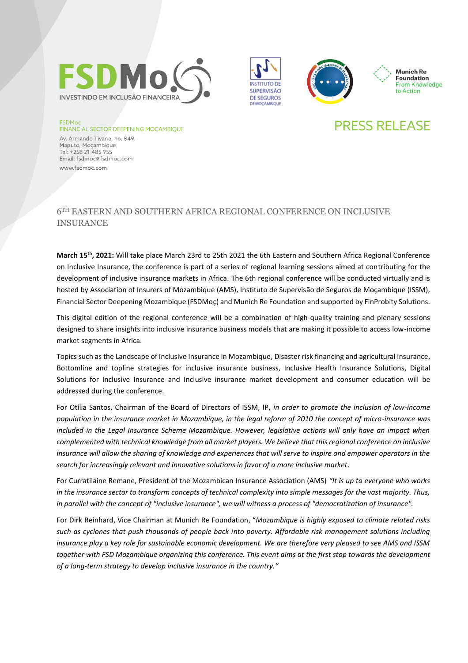







# **PRESS RELEASE**

**FSDMoc FINANCIAL SECTOR DEEPENING MOÇAMBIQUE** 

Av. Armando Tivane, no. 849, Maputo, Mocambique Tel: +258 21 485 955 Email: fsdmoc@fsdmoc.com www.fsdmoc.com

### 6TH EASTERN AND SOUTHERN AFRICA REGIONAL CONFERENCE ON INCLUSIVE INSURANCE

**March 15th, 2021:** Will take place March 23rd to 25th 2021 the 6th Eastern and Southern Africa Regional Conference on Inclusive Insurance, the conference is part of a series of regional learning sessions aimed at contributing for the development of inclusive insurance markets in Africa. The 6th regional conference will be conducted virtually and is hosted by Association of Insurers of Mozambique (AMS), Instituto de Supervisão de Seguros de Moçambique (ISSM), Financial Sector Deepening Mozambique (FSDMoç) and Munich Re Foundation and supported by FinProbity Solutions.

This digital edition of the regional conference will be a combination of high-quality training and plenary sessions designed to share insights into inclusive insurance business models that are making it possible to access low-income market segments in Africa.

Topics such as the Landscape of Inclusive Insurance in Mozambique, Disaster risk financing and agricultural insurance, Bottomline and topline strategies for inclusive insurance business, Inclusive Health Insurance Solutions, Digital Solutions for Inclusive Insurance and Inclusive insurance market development and consumer education will be addressed during the conference.

For Otília Santos, Chairman of the Board of Directors of ISSM, IP, *in order to promote the inclusion of low-income population in the insurance market in Mozambique, in the legal reform of 2010 the concept of micro-insurance was included in the Legal Insurance Scheme Mozambique. However, legislative actions will only have an impact when complemented with technical knowledge from all market players. We believe that this regional conference on inclusive insurance will allow the sharing of knowledge and experiences that will serve to inspire and empower operators in the search for increasingly relevant and innovative solutions in favor of a more inclusive market*.

For Curratilaine Remane, President of the Mozambican Insurance Association (AMS) *"It is up to everyone who works in the insurance sector to transform concepts of technical complexity into simple messages for the vast majority. Thus, in parallel with the concept of "inclusive insurance", we will witness a process of "democratization of insurance".*

For Dirk Reinhard, Vice Chairman at Munich Re Foundation, "*Mozambique is highly exposed to climate related risks such as cyclones that push thousands of people back into poverty. Affordable risk management solutions including insurance play a key role for sustainable economic development. We are therefore very pleased to see AMS and ISSM together with FSD Mozambique organizing this conference. This event aims at the first stop towards the development of a long-term strategy to develop inclusive insurance in the country."*